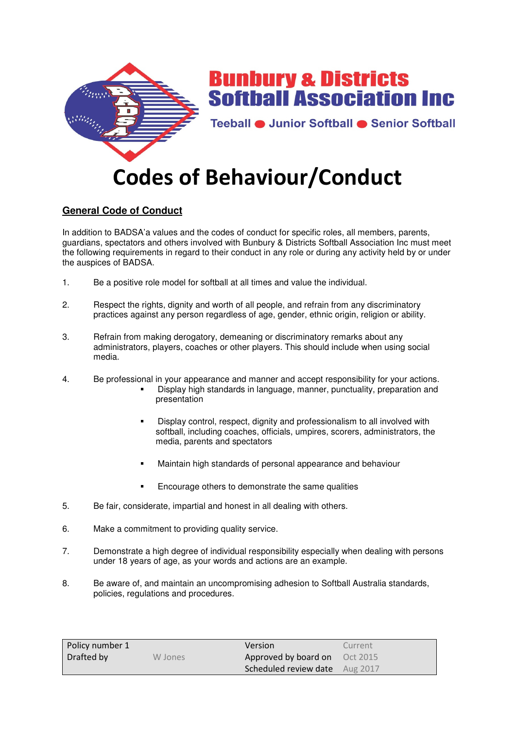

# **General Code of Conduct**

In addition to BADSA'a values and the codes of conduct for specific roles, all members, parents, guardians, spectators and others involved with Bunbury & Districts Softball Association Inc must meet the following requirements in regard to their conduct in any role or during any activity held by or under the auspices of BADSA.

- 1. Be a positive role model for softball at all times and value the individual.
- 2. Respect the rights, dignity and worth of all people, and refrain from any discriminatory practices against any person regardless of age, gender, ethnic origin, religion or ability.
- 3. Refrain from making derogatory, demeaning or discriminatory remarks about any administrators, players, coaches or other players. This should include when using social media.
- 4. Be professional in your appearance and manner and accept responsibility for your actions.
	- Display high standards in language, manner, punctuality, preparation and presentation
	- Display control, respect, dignity and professionalism to all involved with softball, including coaches, officials, umpires, scorers, administrators, the media, parents and spectators
	- **Maintain high standards of personal appearance and behaviour**
	- **Encourage others to demonstrate the same qualities**
- 5. Be fair, considerate, impartial and honest in all dealing with others.
- 6. Make a commitment to providing quality service.
- 7. Demonstrate a high degree of individual responsibility especially when dealing with persons under 18 years of age, as your words and actions are an example.
- 8. Be aware of, and maintain an uncompromising adhesion to Softball Australia standards, policies, regulations and procedures.

| Policy number 1 |         | Version                        | Current |
|-----------------|---------|--------------------------------|---------|
| Drafted by      | W Jones | Approved by board on Oct 2015  |         |
|                 |         | Scheduled review date Aug 2017 |         |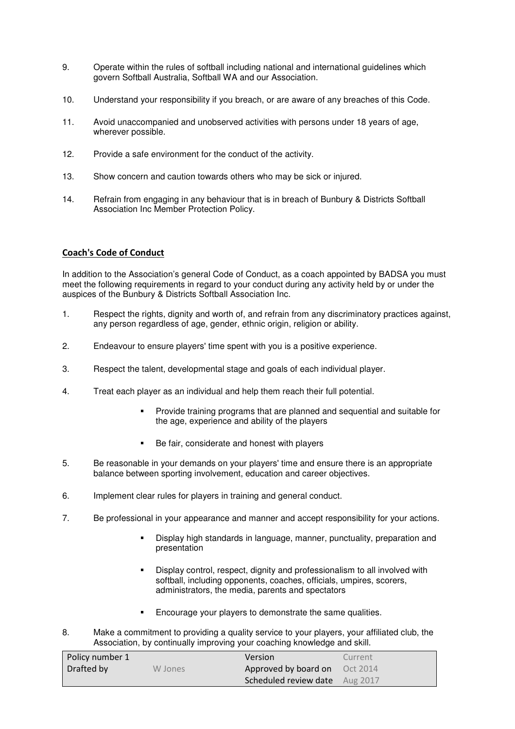- 9. Operate within the rules of softball including national and international guidelines which govern Softball Australia, Softball WA and our Association.
- 10. Understand your responsibility if you breach, or are aware of any breaches of this Code.
- 11. Avoid unaccompanied and unobserved activities with persons under 18 years of age, wherever possible.
- 12. Provide a safe environment for the conduct of the activity.
- 13. Show concern and caution towards others who may be sick or injured.
- 14. Refrain from engaging in any behaviour that is in breach of Bunbury & Districts Softball Association Inc Member Protection Policy.

## **Coach's Code of Conduct**

In addition to the Association's general Code of Conduct, as a coach appointed by BADSA you must meet the following requirements in regard to your conduct during any activity held by or under the auspices of the Bunbury & Districts Softball Association Inc.

- 1. Respect the rights, dignity and worth of, and refrain from any discriminatory practices against, any person regardless of age, gender, ethnic origin, religion or ability.
- 2. Endeavour to ensure players' time spent with you is a positive experience.
- 3. Respect the talent, developmental stage and goals of each individual player.
- 4. Treat each player as an individual and help them reach their full potential.
	- Provide training programs that are planned and sequential and suitable for the age, experience and ability of the players
	- Be fair, considerate and honest with players
- 5. Be reasonable in your demands on your players' time and ensure there is an appropriate balance between sporting involvement, education and career objectives.
- 6. Implement clear rules for players in training and general conduct.
- 7. Be professional in your appearance and manner and accept responsibility for your actions.
	- Display high standards in language, manner, punctuality, preparation and presentation
	- Display control, respect, dignity and professionalism to all involved with softball, including opponents, coaches, officials, umpires, scorers, administrators, the media, parents and spectators
	- **Encourage your players to demonstrate the same qualities.**
- 8. Make a commitment to providing a quality service to your players, your affiliated club, the Association, by continually improving your coaching knowledge and skill.

| Policy number 1 |         | Version                               | Current |
|-----------------|---------|---------------------------------------|---------|
| Drafted by      | W Jones | Approved by board on Oct 2014         |         |
|                 |         | <b>Scheduled review date</b> Aug 2017 |         |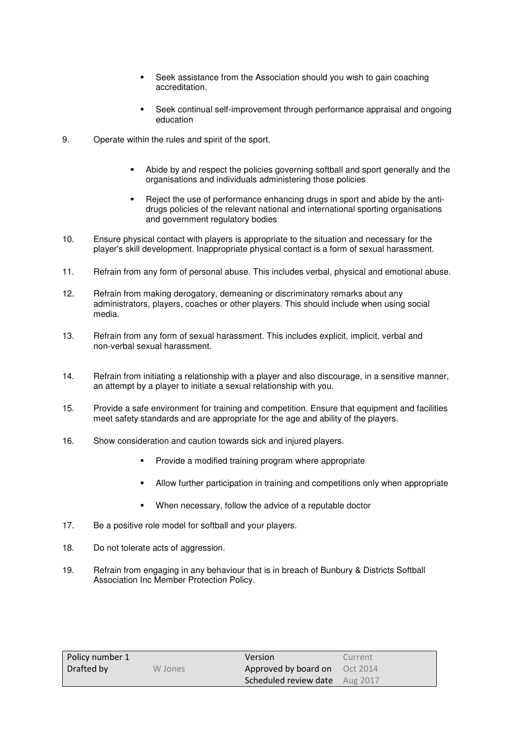- Seek assistance from the Association should you wish to gain coaching accreditation.
- Seek continual self-improvement through performance appraisal and ongoing education
- 9. Operate within the rules and spirit of the sport.
	- Abide by and respect the policies governing softball and sport generally and the organisations and individuals administering those policies
	- Reject the use of performance enhancing drugs in sport and abide by the antidrugs policies of the relevant national and international sporting organisations and government regulatory bodies
- 10. Ensure physical contact with players is appropriate to the situation and necessary for the player's skill development. Inappropriate physical contact is a form of sexual harassment.
- 11. Refrain from any form of personal abuse. This includes verbal, physical and emotional abuse.
- 12. Refrain from making derogatory, demeaning or discriminatory remarks about any administrators, players, coaches or other players. This should include when using social media.
- 13. Refrain from any form of sexual harassment. This includes explicit, implicit, verbal and non-verbal sexual harassment.
- 14. Refrain from initiating a relationship with a player and also discourage, in a sensitive manner, an attempt by a player to initiate a sexual relationship with you.
- 15. Provide a safe environment for training and competition. Ensure that equipment and facilities meet safety standards and are appropriate for the age and ability of the players.
- 16. Show consideration and caution towards sick and injured players.
	- **Provide a modified training program where appropriate**
	- Allow further participation in training and competitions only when appropriate
	- When necessary, follow the advice of a reputable doctor
- 17. Be a positive role model for softball and your players.
- 18. Do not tolerate acts of aggression.
- 19. Refrain from engaging in any behaviour that is in breach of Bunbury & Districts Softball Association Inc Member Protection Policy.

| Policy number 1 |         | <b>Version</b>                 | Current |
|-----------------|---------|--------------------------------|---------|
| Drafted by      | W Jones | Approved by board on Oct 2014  |         |
|                 |         | Scheduled review date Aug 2017 |         |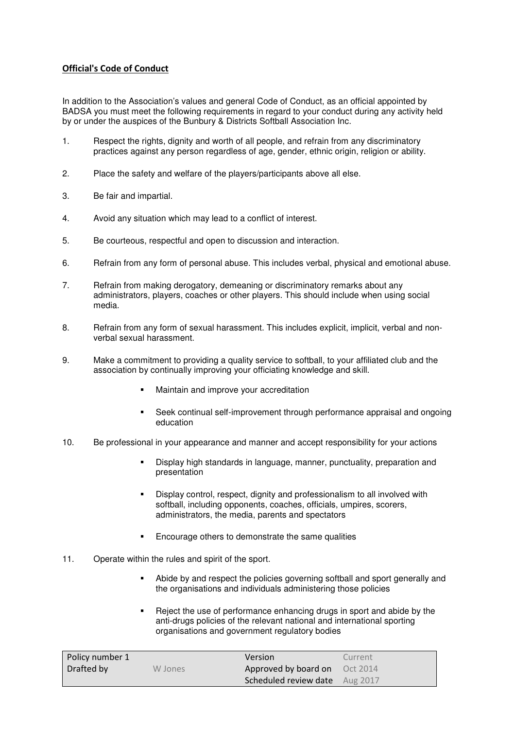## **Official's Code of Conduct**

In addition to the Association's values and general Code of Conduct, as an official appointed by BADSA you must meet the following requirements in regard to your conduct during any activity held by or under the auspices of the Bunbury & Districts Softball Association Inc.

- 1. Respect the rights, dignity and worth of all people, and refrain from any discriminatory practices against any person regardless of age, gender, ethnic origin, religion or ability.
- 2. Place the safety and welfare of the players/participants above all else.
- 3. Be fair and impartial.
- 4. Avoid any situation which may lead to a conflict of interest.
- 5. Be courteous, respectful and open to discussion and interaction.
- 6. Refrain from any form of personal abuse. This includes verbal, physical and emotional abuse.
- 7. Refrain from making derogatory, demeaning or discriminatory remarks about any administrators, players, coaches or other players. This should include when using social media.
- 8. Refrain from any form of sexual harassment. This includes explicit, implicit, verbal and nonverbal sexual harassment.
- 9. Make a commitment to providing a quality service to softball, to your affiliated club and the association by continually improving your officiating knowledge and skill.
	- **•** Maintain and improve your accreditation
	- Seek continual self-improvement through performance appraisal and ongoing education
- 10. Be professional in your appearance and manner and accept responsibility for your actions
	- Display high standards in language, manner, punctuality, preparation and presentation
	- Display control, respect, dignity and professionalism to all involved with softball, including opponents, coaches, officials, umpires, scorers, administrators, the media, parents and spectators
	- Encourage others to demonstrate the same qualities
- 11. Operate within the rules and spirit of the sport.
	- Abide by and respect the policies governing softball and sport generally and the organisations and individuals administering those policies
	- Reject the use of performance enhancing drugs in sport and abide by the anti-drugs policies of the relevant national and international sporting organisations and government regulatory bodies

| Policy number 1 |         | Version                        | Current |
|-----------------|---------|--------------------------------|---------|
| Drafted by      | W Jones | Approved by board on Oct 2014  |         |
|                 |         | Scheduled review date Aug 2017 |         |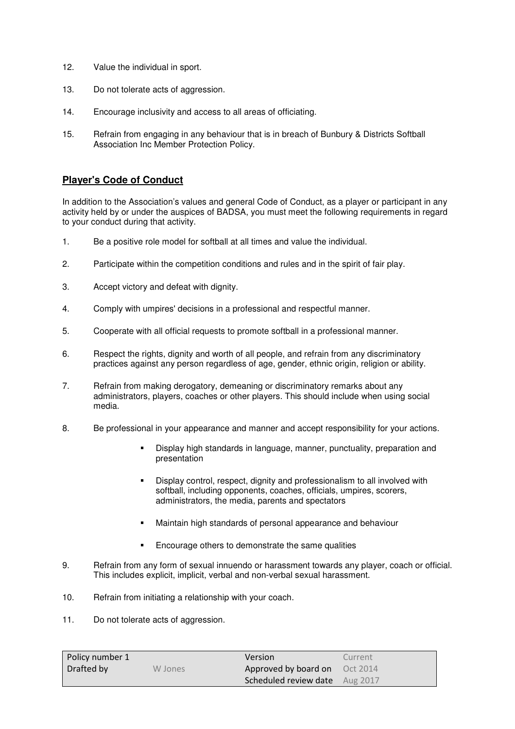- 12. Value the individual in sport.
- 13. Do not tolerate acts of aggression.
- 14. Encourage inclusivity and access to all areas of officiating.
- 15. Refrain from engaging in any behaviour that is in breach of Bunbury & Districts Softball Association Inc Member Protection Policy.

## **Player's Code of Conduct**

In addition to the Association's values and general Code of Conduct, as a player or participant in any activity held by or under the auspices of BADSA, you must meet the following requirements in regard to your conduct during that activity.

- 1. Be a positive role model for softball at all times and value the individual.
- 2. Participate within the competition conditions and rules and in the spirit of fair play.
- 3. Accept victory and defeat with dignity.
- 4. Comply with umpires' decisions in a professional and respectful manner.
- 5. Cooperate with all official requests to promote softball in a professional manner.
- 6. Respect the rights, dignity and worth of all people, and refrain from any discriminatory practices against any person regardless of age, gender, ethnic origin, religion or ability.
- 7. Refrain from making derogatory, demeaning or discriminatory remarks about any administrators, players, coaches or other players. This should include when using social media.
- 8. Be professional in your appearance and manner and accept responsibility for your actions.
	- Display high standards in language, manner, punctuality, preparation and presentation
	- Display control, respect, dignity and professionalism to all involved with softball, including opponents, coaches, officials, umpires, scorers, administrators, the media, parents and spectators
	- Maintain high standards of personal appearance and behaviour
	- **Encourage others to demonstrate the same qualities**
- 9. Refrain from any form of sexual innuendo or harassment towards any player, coach or official. This includes explicit, implicit, verbal and non-verbal sexual harassment.
- 10. Refrain from initiating a relationship with your coach.
- 11. Do not tolerate acts of aggression.

| Policy number 1 |         | <b>Version</b>                        | Current |
|-----------------|---------|---------------------------------------|---------|
| Drafted by      | W Jones | Approved by board on Oct 2014         |         |
|                 |         | <b>Scheduled review date</b> Aug 2017 |         |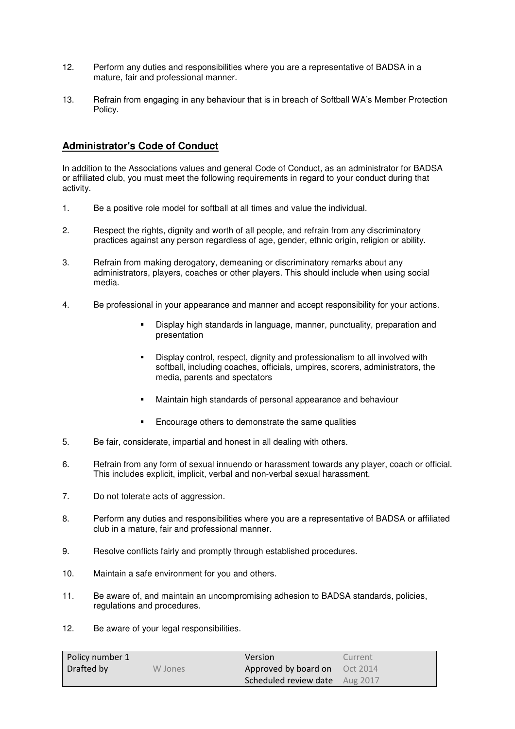- 12. Perform any duties and responsibilities where you are a representative of BADSA in a mature, fair and professional manner.
- 13. Refrain from engaging in any behaviour that is in breach of Softball WA's Member Protection Policy.

## **Administrator's Code of Conduct**

In addition to the Associations values and general Code of Conduct, as an administrator for BADSA or affiliated club, you must meet the following requirements in regard to your conduct during that activity.

- 1. Be a positive role model for softball at all times and value the individual.
- 2. Respect the rights, dignity and worth of all people, and refrain from any discriminatory practices against any person regardless of age, gender, ethnic origin, religion or ability.
- 3. Refrain from making derogatory, demeaning or discriminatory remarks about any administrators, players, coaches or other players. This should include when using social media.
- 4. Be professional in your appearance and manner and accept responsibility for your actions.
	- Display high standards in language, manner, punctuality, preparation and presentation
	- Display control, respect, dignity and professionalism to all involved with softball, including coaches, officials, umpires, scorers, administrators, the media, parents and spectators
	- Maintain high standards of personal appearance and behaviour
	- Encourage others to demonstrate the same qualities
- 5. Be fair, considerate, impartial and honest in all dealing with others.
- 6. Refrain from any form of sexual innuendo or harassment towards any player, coach or official. This includes explicit, implicit, verbal and non-verbal sexual harassment.
- 7. Do not tolerate acts of aggression.
- 8. Perform any duties and responsibilities where you are a representative of BADSA or affiliated club in a mature, fair and professional manner.
- 9. Resolve conflicts fairly and promptly through established procedures.
- 10. Maintain a safe environment for you and others.
- 11. Be aware of, and maintain an uncompromising adhesion to BADSA standards, policies, regulations and procedures.
- 12. Be aware of your legal responsibilities.

| Policy number 1 |         | Version                        | Current |
|-----------------|---------|--------------------------------|---------|
| Drafted by      | W Jones | Approved by board on Oct 2014  |         |
|                 |         | Scheduled review date Aug 2017 |         |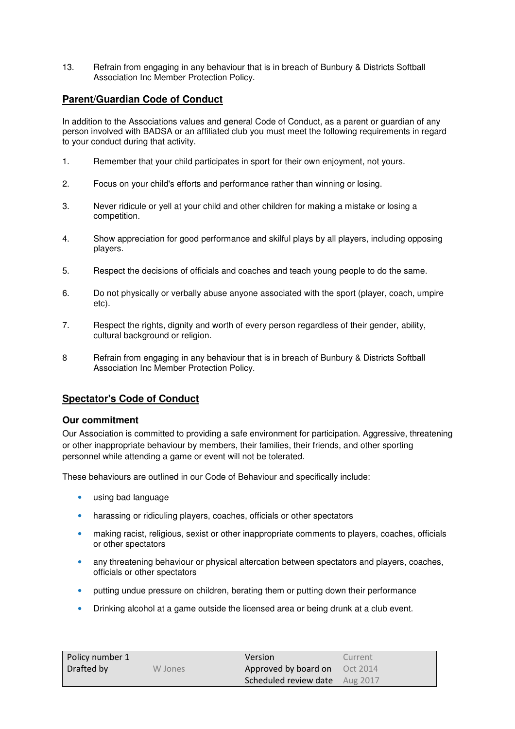13. Refrain from engaging in any behaviour that is in breach of Bunbury & Districts Softball Association Inc Member Protection Policy.

## **Parent/Guardian Code of Conduct**

In addition to the Associations values and general Code of Conduct, as a parent or guardian of any person involved with BADSA or an affiliated club you must meet the following requirements in regard to your conduct during that activity.

- 1. Remember that your child participates in sport for their own enjoyment, not yours.
- 2. Focus on your child's efforts and performance rather than winning or losing.
- 3. Never ridicule or yell at your child and other children for making a mistake or losing a competition.
- 4. Show appreciation for good performance and skilful plays by all players, including opposing players.
- 5. Respect the decisions of officials and coaches and teach young people to do the same.
- 6. Do not physically or verbally abuse anyone associated with the sport (player, coach, umpire etc).
- 7. Respect the rights, dignity and worth of every person regardless of their gender, ability, cultural background or religion.
- 8 Refrain from engaging in any behaviour that is in breach of Bunbury & Districts Softball Association Inc Member Protection Policy.

## **Spectator's Code of Conduct**

### **Our commitment**

Our Association is committed to providing a safe environment for participation. Aggressive, threatening or other inappropriate behaviour by members, their families, their friends, and other sporting personnel while attending a game or event will not be tolerated.

These behaviours are outlined in our Code of Behaviour and specifically include:

- using bad language
- harassing or ridiculing players, coaches, officials or other spectators
- making racist, religious, sexist or other inappropriate comments to players, coaches, officials or other spectators
- any threatening behaviour or physical altercation between spectators and players, coaches, officials or other spectators
- putting undue pressure on children, berating them or putting down their performance
- Drinking alcohol at a game outside the licensed area or being drunk at a club event.

| Policy number 1 |         | Version                        | Current |
|-----------------|---------|--------------------------------|---------|
| Drafted by      | W Jones | Approved by board on Oct 2014  |         |
|                 |         | Scheduled review date Aug 2017 |         |